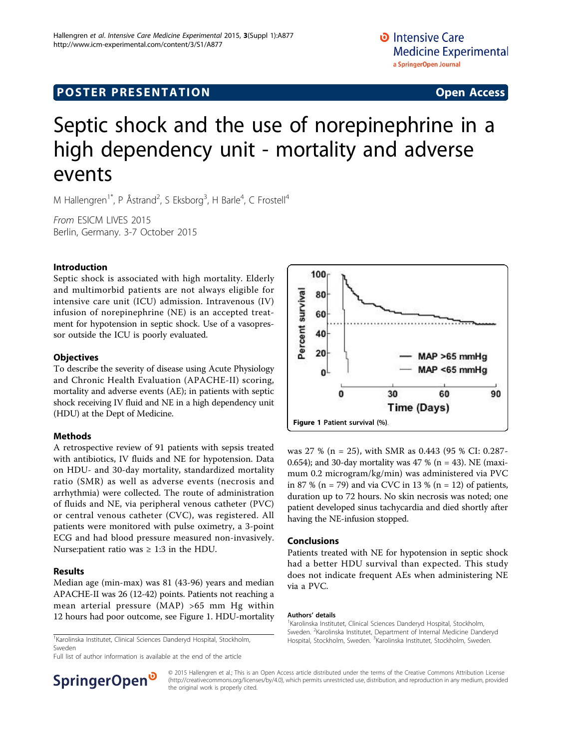# **POSTER PRESENTATION CONSUMING ACCESS**

# Septic shock and the use of norepinephrine in a high dependency unit - mortality and adverse events

M Hallengren<sup>1\*</sup>, P Åstrand<sup>2</sup>, S Eksborg<sup>3</sup>, H Barle<sup>4</sup>, C Frostell<sup>4</sup>

From ESICM LIVES 2015 Berlin, Germany. 3-7 October 2015

## Introduction

Septic shock is associated with high mortality. Elderly and multimorbid patients are not always eligible for intensive care unit (ICU) admission. Intravenous (IV) infusion of norepinephrine (NE) is an accepted treatment for hypotension in septic shock. Use of a vasopressor outside the ICU is poorly evaluated.

#### **Objectives**

To describe the severity of disease using Acute Physiology and Chronic Health Evaluation (APACHE-II) scoring, mortality and adverse events (AE); in patients with septic shock receiving IV fluid and NE in a high dependency unit (HDU) at the Dept of Medicine.

## Methods

A retrospective review of 91 patients with sepsis treated with antibiotics, IV fluids and NE for hypotension. Data on HDU- and 30-day mortality, standardized mortality ratio (SMR) as well as adverse events (necrosis and arrhythmia) were collected. The route of administration of fluids and NE, via peripheral venous catheter (PVC) or central venous catheter (CVC), was registered. All patients were monitored with pulse oximetry, a 3-point ECG and had blood pressure measured non-invasively. Nurse: patient ratio was  $\geq 1:3$  in the HDU.

#### Results

Median age (min-max) was 81 (43-96) years and median APACHE-II was 26 (12-42) points. Patients not reaching a mean arterial pressure (MAP) >65 mm Hg within 12 hours had poor outcome, see Figure 1. HDU-mortality

Sweden

Full list of author information is available at the end of the article



was 27 % (n = 25), with SMR as 0.443 (95 % CI: 0.287- 0.654); and 30-day mortality was 47 % (n = 43). NE (maximum 0.2 microgram/kg/min) was administered via PVC in 87 % (n = 79) and via CVC in 13 % (n = 12) of patients, duration up to 72 hours. No skin necrosis was noted; one patient developed sinus tachycardia and died shortly after having the NE-infusion stopped.

#### Conclusions

Patients treated with NE for hypotension in septic shock had a better HDU survival than expected. This study does not indicate frequent AEs when administering NE via a PVC.

#### Authors' details <sup>1</sup>

<sup>1</sup> Karolinska Institutet, Clinical Sciences Danderyd Hospital, Stockholm, Sweden. <sup>2</sup>Karolinska Institutet, Department of Internal Medicine Danderyd Hospital, Stockholm, Sweden. <sup>3</sup>Karolinska Institutet, Stockholm, Sweden. Karolinska Institutet, Clinical Sciences Danderyd Hospital, Stockholm, Mospital, Stockholm, Sweden. <sup>3</sup>Karolinska Institutet, Stockholm, Sweden.



© 2015 Hallengren et al.; This is an Open Access article distributed under the terms of the Creative Commons Attribution License [\(http://creativecommons.org/licenses/by/4.0](http://creativecommons.org/licenses/by/4.0)), which permits unrestricted use, distribution, and reproduction in any medium, provided the original work is properly cited.